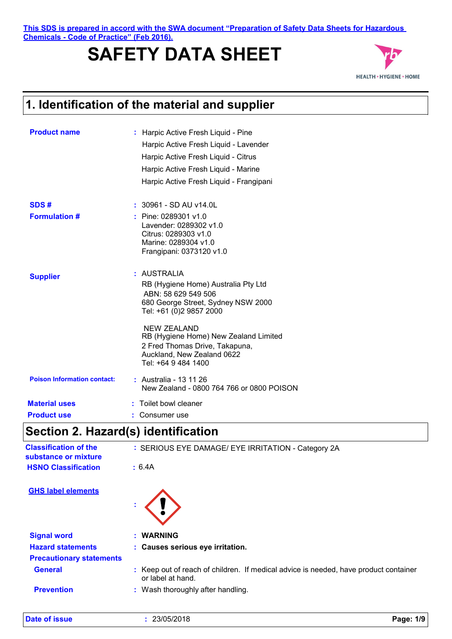**1. Identification of the material and supplier**<br> **1. Identification of the material and supplier This SDS is prepared in accord with the SWA document "Preparation of Safety Data Sheets for Hazardous Chemicals - Code of Practice" (Feb 2016).**

# **SAFETY DATA SHEET**



| <b>Product name</b>                | : Harpic Active Fresh Liquid - Pine<br>Harpic Active Fresh Liquid - Lavender<br>Harpic Active Fresh Liquid - Citrus<br>Harpic Active Fresh Liquid - Marine<br>Harpic Active Fresh Liquid - Frangipani |
|------------------------------------|-------------------------------------------------------------------------------------------------------------------------------------------------------------------------------------------------------|
| SDS#                               | $: 30961 - SD \text{ AU } v14.0$ L                                                                                                                                                                    |
| <b>Formulation #</b>               | : Pine: 0289301 v1.0<br>Lavender: 0289302 v1.0<br>Citrus: 0289303 v1.0<br>Marine: 0289304 v1.0<br>Frangipani: 0373120 v1.0                                                                            |
| <b>Supplier</b>                    | : AUSTRALIA<br>RB (Hygiene Home) Australia Pty Ltd<br>ABN: 58 629 549 506<br>680 George Street, Sydney NSW 2000<br>Tel: +61 (0)2 9857 2000                                                            |
|                                    | NEW ZEALAND<br>RB (Hygiene Home) New Zealand Limited<br>2 Fred Thomas Drive, Takapuna,<br>Auckland, New Zealand 0622<br>Tel: +64 9 484 1400                                                           |
| <b>Poison Information contact:</b> | : Australia - 13 11 26<br>New Zealand - 0800 764 766 or 0800 POISON                                                                                                                                   |
| <b>Material uses</b>               | : Toilet bowl cleaner                                                                                                                                                                                 |
| <b>Product use</b>                 | : Consumer use                                                                                                                                                                                        |

# **Section 2. Hazard(s) identification**

**Date of issue** 

| <b>Classification of the</b><br>substance or mixture | : SERIOUS EYE DAMAGE/ EYE IRRITATION - Category 2A                                                        |
|------------------------------------------------------|-----------------------------------------------------------------------------------------------------------|
| <b>HSNO Classification</b>                           | : 6.4A                                                                                                    |
| <b>GHS label elements</b>                            |                                                                                                           |
| <b>Signal word</b>                                   | : WARNING                                                                                                 |
| <b>Hazard statements</b>                             | : Causes serious eye irritation.                                                                          |
| <b>Precautionary statements</b>                      |                                                                                                           |
| <b>General</b>                                       | : Keep out of reach of children. If medical advice is needed, have product container<br>or label at hand. |
| <b>Prevention</b>                                    | : Wash thoroughly after handling.                                                                         |
|                                                      |                                                                                                           |

| 0.0000000<br>23/05/2018 |  | $\overline{10}$<br>Page.<br>11 V |
|-------------------------|--|----------------------------------|
|                         |  |                                  |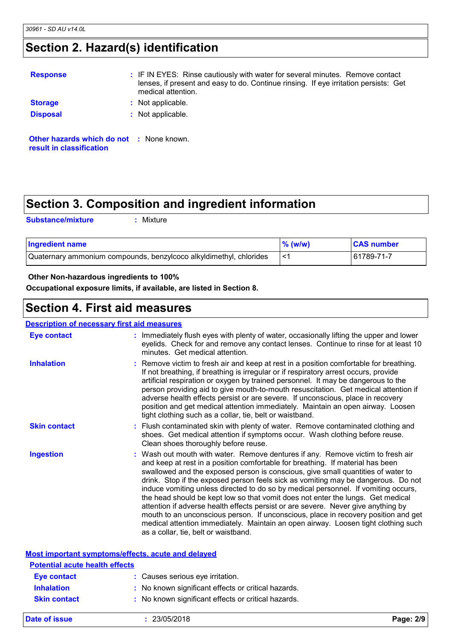### **Section 2. Hazard(s) identification**

| <b>Response</b>          | : IF IN EYES: Rinse cautiously with water for several minutes. Remove contact<br>lenses, if present and easy to do. Continue rinsing. If eye irritation persists: Get<br>medical attention. |
|--------------------------|---------------------------------------------------------------------------------------------------------------------------------------------------------------------------------------------|
| <b>Storage</b>           | : Not applicable.                                                                                                                                                                           |
| <b>Disposal</b>          | : Not applicable.                                                                                                                                                                           |
| result in classification | <b>Other hazards which do not : None known.</b>                                                                                                                                             |

### **Section 3. Composition and ingredient information**

**Substance/mixture :**

Mixture

| <b>Ingredient name</b>                                             | $%$ (w/w) | <b>CAS number</b> |
|--------------------------------------------------------------------|-----------|-------------------|
| Quaternary ammonium compounds, benzylcoco alkyldimethyl, chlorides |           | 61789-71-7        |

#### **Other Non-hazardous ingredients to 100%**

**Occupational exposure limits, if available, are listed in Section 8.**

### **Section 4. First aid measures**

#### : Wash out mouth with water. Remove dentures if any. Remove victim to fresh air and keep at rest in a position comfortable for breathing. If material has been swallowed and the exposed person is conscious, give small quantities of water to drink. Stop if the exposed person feels sick as vomiting may be dangerous. Do not induce vomiting unless directed to do so by medical personnel. If vomiting occurs, the head should be kept low so that vomit does not enter the lungs. Get medical attention if adverse health effects persist or are severe. Never give anything by mouth to an unconscious person. If unconscious, place in recovery position and get medical attention immediately. Maintain an open airway. Loosen tight clothing such as a collar, tie, belt or waistband. **:** Immediately flush eyes with plenty of water, occasionally lifting the upper and lower eyelids. Check for and remove any contact lenses. Continue to rinse for at least 10 minutes. Get medical attention. Flush contaminated skin with plenty of water. Remove contaminated clothing and **:** shoes. Get medical attention if symptoms occur. Wash clothing before reuse. Clean shoes thoroughly before reuse. Remove victim to fresh air and keep at rest in a position comfortable for breathing. **:** If not breathing, if breathing is irregular or if respiratory arrest occurs, provide artificial respiration or oxygen by trained personnel. It may be dangerous to the person providing aid to give mouth-to-mouth resuscitation. Get medical attention if adverse health effects persist or are severe. If unconscious, place in recovery position and get medical attention immediately. Maintain an open airway. Loosen tight clothing such as a collar, tie, belt or waistband. **Eye contact Skin contact Inhalation Ingestion : Description of necessary first aid measures Most important symptoms/effects, acute and delayed Potential acute health effects**

| T Olonga avalo hvann vilovlo |                                                     |
|------------------------------|-----------------------------------------------------|
| Eye contact                  | : Causes serious eye irritation.                    |
| <b>Inhalation</b>            | : No known significant effects or critical hazards. |
| <b>Skin contact</b>          | : No known significant effects or critical hazards. |
|                              |                                                     |

| Date of issue | 23/05/2018 | Page: $2/9$ |
|---------------|------------|-------------|
|---------------|------------|-------------|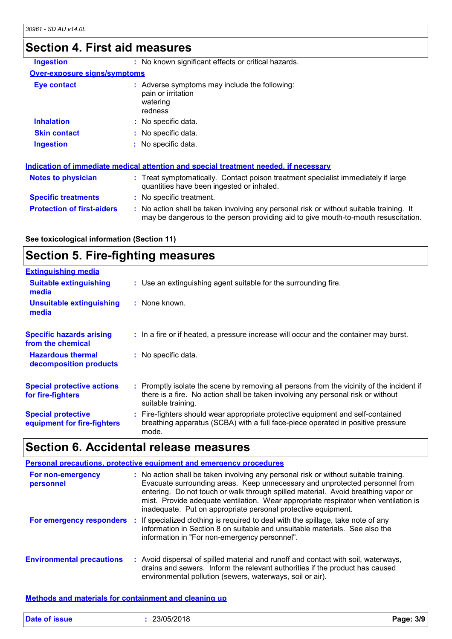#### **Section 4. First aid measures**

| OGGHUILT. LIIJL AIU THGAJULGJ       |                                                                                                                                |  |
|-------------------------------------|--------------------------------------------------------------------------------------------------------------------------------|--|
| <b>Ingestion</b>                    | : No known significant effects or critical hazards.                                                                            |  |
| <b>Over-exposure signs/symptoms</b> |                                                                                                                                |  |
| Eye contact                         | : Adverse symptoms may include the following:<br>pain or irritation<br>watering<br>redness                                     |  |
| <b>Inhalation</b>                   | : No specific data.                                                                                                            |  |
| <b>Skin contact</b>                 | : No specific data.                                                                                                            |  |
| <b>Ingestion</b>                    | : No specific data.                                                                                                            |  |
|                                     | Indication of immediate medical attention and special treatment needed, if necessary                                           |  |
| <b>Notes to physician</b>           | : Treat symptomatically. Contact poison treatment specialist immediately if large<br>quantities have been ingested or inhaled. |  |

**Specific treatments :** No specific treatment.

**Protection of first-aiders** : No action shall be taken involving any personal risk or without suitable training. It may be dangerous to the person providing aid to give mouth-to-mouth resuscitation.

**See toxicological information (Section 11)**

### **Section 5. Fire-fighting measures**

| <b>Extinguishing media</b>                               |                                                                                                                                                                                                     |
|----------------------------------------------------------|-----------------------------------------------------------------------------------------------------------------------------------------------------------------------------------------------------|
| <b>Suitable extinguishing</b><br>media                   | : Use an extinguishing agent suitable for the surrounding fire.                                                                                                                                     |
| <b>Unsuitable extinguishing</b><br>media                 | : None known.                                                                                                                                                                                       |
| <b>Specific hazards arising</b><br>from the chemical     | : In a fire or if heated, a pressure increase will occur and the container may burst.                                                                                                               |
| <b>Hazardous thermal</b><br>decomposition products       | : No specific data.                                                                                                                                                                                 |
| <b>Special protective actions</b><br>for fire-fighters   | : Promptly isolate the scene by removing all persons from the vicinity of the incident if<br>there is a fire. No action shall be taken involving any personal risk or without<br>suitable training. |
| <b>Special protective</b><br>equipment for fire-fighters | : Fire-fighters should wear appropriate protective equipment and self-contained<br>breathing apparatus (SCBA) with a full face-piece operated in positive pressure<br>mode.                         |

### **Section 6. Accidental release measures**

|                                  | <b>Personal precautions, protective equipment and emergency procedures</b>                                                                                                                                                                                                                                                                                                                                       |
|----------------------------------|------------------------------------------------------------------------------------------------------------------------------------------------------------------------------------------------------------------------------------------------------------------------------------------------------------------------------------------------------------------------------------------------------------------|
| For non-emergency<br>personnel   | : No action shall be taken involving any personal risk or without suitable training.<br>Evacuate surrounding areas. Keep unnecessary and unprotected personnel from<br>entering. Do not touch or walk through spilled material. Avoid breathing vapor or<br>mist. Provide adequate ventilation. Wear appropriate respirator when ventilation is<br>inadequate. Put on appropriate personal protective equipment. |
|                                  | For emergency responders : If specialized clothing is required to deal with the spillage, take note of any<br>information in Section 8 on suitable and unsuitable materials. See also the<br>information in "For non-emergency personnel".                                                                                                                                                                       |
| <b>Environmental precautions</b> | : Avoid dispersal of spilled material and runoff and contact with soil, waterways,<br>drains and sewers. Inform the relevant authorities if the product has caused<br>environmental pollution (sewers, waterways, soil or air).                                                                                                                                                                                  |

#### **Methods and materials for containment and cleaning up**

| <b>Date of issue</b> | 23/05/2018 | $P$ age: | 3/9 |
|----------------------|------------|----------|-----|
|                      |            |          |     |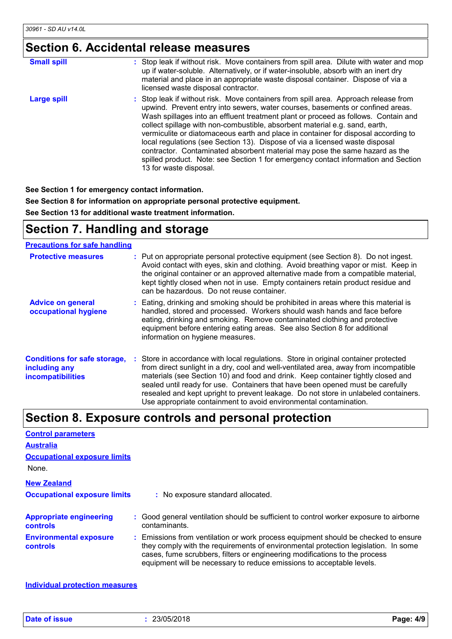## **Section 6. Accidental release measures**

| <b>Small spill</b> | : Stop leak if without risk. Move containers from spill area. Dilute with water and mop<br>up if water-soluble. Alternatively, or if water-insoluble, absorb with an inert dry<br>material and place in an appropriate waste disposal container. Dispose of via a<br>licensed waste disposal contractor.                                                                                                                                                                                                                                                                                                                                                                                                        |
|--------------------|-----------------------------------------------------------------------------------------------------------------------------------------------------------------------------------------------------------------------------------------------------------------------------------------------------------------------------------------------------------------------------------------------------------------------------------------------------------------------------------------------------------------------------------------------------------------------------------------------------------------------------------------------------------------------------------------------------------------|
| Large spill        | : Stop leak if without risk. Move containers from spill area. Approach release from<br>upwind. Prevent entry into sewers, water courses, basements or confined areas.<br>Wash spillages into an effluent treatment plant or proceed as follows. Contain and<br>collect spillage with non-combustible, absorbent material e.g. sand, earth,<br>vermiculite or diatomaceous earth and place in container for disposal according to<br>local regulations (see Section 13). Dispose of via a licensed waste disposal<br>contractor. Contaminated absorbent material may pose the same hazard as the<br>spilled product. Note: see Section 1 for emergency contact information and Section<br>13 for waste disposal. |

**See Section 1 for emergency contact information.**

**See Section 8 for information on appropriate personal protective equipment.**

**See Section 13 for additional waste treatment information.**

### **Section 7. Handling and storage**

#### **Precautions for safe handling**

| <b>Protective measures</b>                                                       | : Put on appropriate personal protective equipment (see Section 8). Do not ingest.<br>Avoid contact with eyes, skin and clothing. Avoid breathing vapor or mist. Keep in<br>the original container or an approved alternative made from a compatible material,<br>kept tightly closed when not in use. Empty containers retain product residue and<br>can be hazardous. Do not reuse container.                                                                                                               |
|----------------------------------------------------------------------------------|---------------------------------------------------------------------------------------------------------------------------------------------------------------------------------------------------------------------------------------------------------------------------------------------------------------------------------------------------------------------------------------------------------------------------------------------------------------------------------------------------------------|
| <b>Advice on general</b><br>occupational hygiene                                 | : Eating, drinking and smoking should be prohibited in areas where this material is<br>handled, stored and processed. Workers should wash hands and face before<br>eating, drinking and smoking. Remove contaminated clothing and protective<br>equipment before entering eating areas. See also Section 8 for additional<br>information on hygiene measures.                                                                                                                                                 |
| <b>Conditions for safe storage,</b><br>including any<br><b>incompatibilities</b> | : Store in accordance with local regulations. Store in original container protected<br>from direct sunlight in a dry, cool and well-ventilated area, away from incompatible<br>materials (see Section 10) and food and drink. Keep container tightly closed and<br>sealed until ready for use. Containers that have been opened must be carefully<br>resealed and kept upright to prevent leakage. Do not store in unlabeled containers.<br>Use appropriate containment to avoid environmental contamination. |

#### **Section 8. Exposure controls and personal protection**

| <b>Control parameters</b>                         |                                                                                                                                                                                                                                                                                                                                 |
|---------------------------------------------------|---------------------------------------------------------------------------------------------------------------------------------------------------------------------------------------------------------------------------------------------------------------------------------------------------------------------------------|
| <b>Australia</b>                                  |                                                                                                                                                                                                                                                                                                                                 |
| <b>Occupational exposure limits</b>               |                                                                                                                                                                                                                                                                                                                                 |
| None.                                             |                                                                                                                                                                                                                                                                                                                                 |
| <b>New Zealand</b>                                |                                                                                                                                                                                                                                                                                                                                 |
| <b>Occupational exposure limits</b>               | : No exposure standard allocated.                                                                                                                                                                                                                                                                                               |
| <b>Appropriate engineering</b><br><b>controls</b> | : Good general ventilation should be sufficient to control worker exposure to airborne<br>contaminants.                                                                                                                                                                                                                         |
| <b>Environmental exposure</b><br><b>controls</b>  | : Emissions from ventilation or work process equipment should be checked to ensure<br>they comply with the requirements of environmental protection legislation. In some<br>cases, fume scrubbers, filters or engineering modifications to the process<br>equipment will be necessary to reduce emissions to acceptable levels. |

**Individual protection measures**

**Date of issue :** 23/05/2018 **Page: 4/9**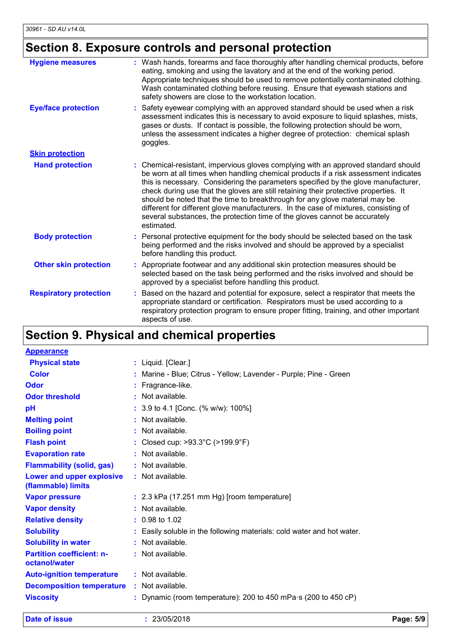# **Section 8. Exposure controls and personal protection**

| <b>Hygiene measures</b>       | Wash hands, forearms and face thoroughly after handling chemical products, before<br>eating, smoking and using the lavatory and at the end of the working period.<br>Appropriate techniques should be used to remove potentially contaminated clothing.<br>Wash contaminated clothing before reusing. Ensure that eyewash stations and<br>safety showers are close to the workstation location.                                                                                                                                                                                                                           |
|-------------------------------|---------------------------------------------------------------------------------------------------------------------------------------------------------------------------------------------------------------------------------------------------------------------------------------------------------------------------------------------------------------------------------------------------------------------------------------------------------------------------------------------------------------------------------------------------------------------------------------------------------------------------|
| <b>Eye/face protection</b>    | Safety eyewear complying with an approved standard should be used when a risk<br>assessment indicates this is necessary to avoid exposure to liquid splashes, mists,<br>gases or dusts. If contact is possible, the following protection should be worn,<br>unless the assessment indicates a higher degree of protection: chemical splash<br>goggles.                                                                                                                                                                                                                                                                    |
| <b>Skin protection</b>        |                                                                                                                                                                                                                                                                                                                                                                                                                                                                                                                                                                                                                           |
| <b>Hand protection</b>        | : Chemical-resistant, impervious gloves complying with an approved standard should<br>be worn at all times when handling chemical products if a risk assessment indicates<br>this is necessary. Considering the parameters specified by the glove manufacturer,<br>check during use that the gloves are still retaining their protective properties. It<br>should be noted that the time to breakthrough for any glove material may be<br>different for different glove manufacturers. In the case of mixtures, consisting of<br>several substances, the protection time of the gloves cannot be accurately<br>estimated. |
| <b>Body protection</b>        | : Personal protective equipment for the body should be selected based on the task<br>being performed and the risks involved and should be approved by a specialist<br>before handling this product.                                                                                                                                                                                                                                                                                                                                                                                                                       |
| <b>Other skin protection</b>  | Appropriate footwear and any additional skin protection measures should be<br>selected based on the task being performed and the risks involved and should be<br>approved by a specialist before handling this product.                                                                                                                                                                                                                                                                                                                                                                                                   |
| <b>Respiratory protection</b> | Based on the hazard and potential for exposure, select a respirator that meets the<br>appropriate standard or certification. Respirators must be used according to a<br>respiratory protection program to ensure proper fitting, training, and other important<br>aspects of use.                                                                                                                                                                                                                                                                                                                                         |

# **Section 9. Physical and chemical properties**

| <b>Appearance</b>                                 |                                                                        |
|---------------------------------------------------|------------------------------------------------------------------------|
| <b>Physical state</b>                             | : Liquid. [Clear.]                                                     |
| Color                                             | Marine - Blue; Citrus - Yellow; Lavender - Purple; Pine - Green        |
| Odor                                              | : Fragrance-like.                                                      |
| <b>Odor threshold</b>                             | : Not available.                                                       |
| pH                                                | : 3.9 to 4.1 [Conc. (% w/w): 100%]                                     |
| <b>Melting point</b>                              | : Not available.                                                       |
| <b>Boiling point</b>                              | : Not available.                                                       |
| <b>Flash point</b>                                | : Closed cup: >93.3°C (>199.9°F)                                       |
| <b>Evaporation rate</b>                           | : Not available.                                                       |
| <b>Flammability (solid, gas)</b>                  | : Not available.                                                       |
| Lower and upper explosive<br>(flammable) limits   | : Not available.                                                       |
| <b>Vapor pressure</b>                             | $: 2.3$ kPa (17.251 mm Hg) [room temperature]                          |
| <b>Vapor density</b>                              | : Not available.                                                       |
| <b>Relative density</b>                           | $: 0.98$ to 1.02                                                       |
| <b>Solubility</b>                                 | : Easily soluble in the following materials: cold water and hot water. |
| <b>Solubility in water</b>                        | : Not available.                                                       |
| <b>Partition coefficient: n-</b><br>octanol/water | : Not available.                                                       |
| <b>Auto-ignition temperature</b>                  | : Not available.                                                       |
| <b>Decomposition temperature</b>                  | : Not available.                                                       |
| <b>Viscosity</b>                                  | Dynamic (room temperature): 200 to 450 mPa $\cdot$ s (200 to 450 cP)   |

**Date of issue :** 23/05/2018 **Page: 5/9**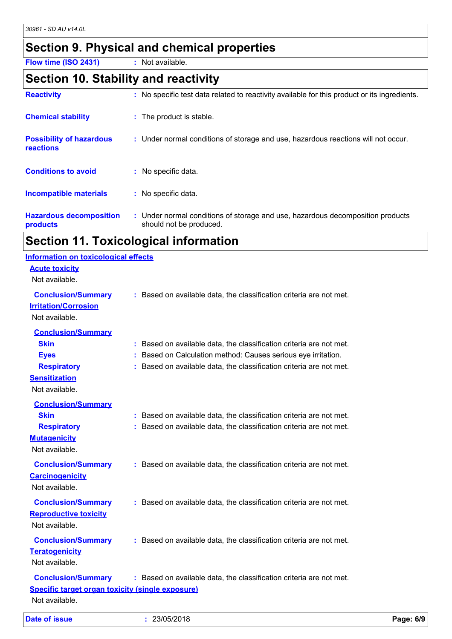### **Section 9. Physical and chemical properties**

**Flow time (ISO 2431) :** Not available.

#### **Section 10. Stability and reactivity**

| <b>Reactivity</b>                            | : No specific test data related to reactivity available for this product or its ingredients.              |
|----------------------------------------------|-----------------------------------------------------------------------------------------------------------|
| <b>Chemical stability</b>                    | : The product is stable.                                                                                  |
| <b>Possibility of hazardous</b><br>reactions | : Under normal conditions of storage and use, hazardous reactions will not occur.                         |
| <b>Conditions to avoid</b>                   | : No specific data.                                                                                       |
| <b>Incompatible materials</b>                | : No specific data.                                                                                       |
| <b>Hazardous decomposition</b><br>products   | : Under normal conditions of storage and use, hazardous decomposition products<br>should not be produced. |

#### **Section 11. Toxicological information**

#### **Acute toxicity** Not available. **Conclusion/Summary :** Based on available data, the classification criteria are not met. **Carcinogenicity** Not available. **Conclusion/Summary :** Based on available data, the classification criteria are not met. **Mutagenicity** Not available. **Conclusion/Summary :** Based on available data, the classification criteria are not met. **Teratogenicity** Not available. **Conclusion/Summary :** Based on available data, the classification criteria are not met. **Reproductive toxicity Conclusion/Summary :** Based on available data, the classification criteria are not met. Not available. **Irritation/Corrosion** Not available. **Conclusion/Summary Skin :** Based on available data, the classification criteria are not met. **Eyes :** Based on Calculation method: Causes serious eye irritation. **Respiratory :** Based on available data, the classification criteria are not met. **Sensitization** Not available. **Conclusion/Summary Skin Example 20 :** Based on available data, the classification criteria are not met. **Respiratory :** Based on available data, the classification criteria are not met. **Specific target organ toxicity (single exposure)** Not available. **Information on toxicological effects**

**Date of issue :** 23/05/2018 **Page: 6/9**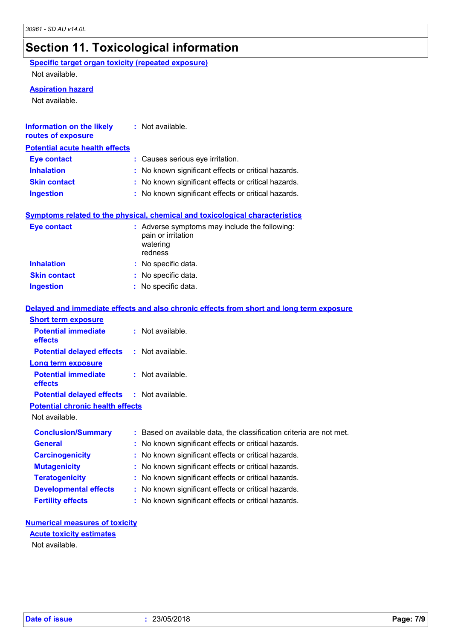# **Section 11. Toxicological information**

**Specific target organ toxicity (repeated exposure)** Not available.

**Aspiration hazard**

Not available.

| <b>Information on the likely</b><br>routes of exposure | : Not available.                                                                           |
|--------------------------------------------------------|--------------------------------------------------------------------------------------------|
| <b>Potential acute health effects</b>                  |                                                                                            |
| <b>Eye contact</b>                                     | : Causes serious eye irritation.                                                           |
| <b>Inhalation</b>                                      | : No known significant effects or critical hazards.                                        |
| <b>Skin contact</b>                                    | : No known significant effects or critical hazards.                                        |
| <b>Ingestion</b>                                       | : No known significant effects or critical hazards.                                        |
|                                                        | <b>Symptoms related to the physical, chemical and toxicological characteristics</b>        |
| <b>Eye contact</b>                                     | : Adverse symptoms may include the following:<br>pain or irritation<br>watering<br>redness |
| <b>Inhalation</b>                                      | : No specific data.                                                                        |
| <b>Skin contact</b>                                    | : No specific data.                                                                        |
| <b>Ingestion</b>                                       | : No specific data.                                                                        |
|                                                        | Delayed and immediate effects and also chronic effects from short and long term exposure   |
| <b>Short term exposure</b>                             |                                                                                            |
| <b>Potential immediate</b><br>effects                  | : Not available.                                                                           |
| <b>Potential delayed effects</b>                       | : Not available.                                                                           |
| <b>Long term exposure</b>                              |                                                                                            |
| <b>Potential immediate</b><br>effects                  | : Not available.                                                                           |
| <b>Potential delayed effects</b>                       | : Not available.                                                                           |
| <b>Potential chronic health effects</b>                |                                                                                            |
| Not available.                                         |                                                                                            |
| <b>Conclusion/Summary</b>                              | : Based on available data, the classification criteria are not met.                        |
| <b>General</b>                                         | : No known significant effects or critical hazards.                                        |
| <b>Carcinogenicity</b>                                 | No known significant effects or critical hazards.                                          |
| <b>Mutagenicity</b>                                    | No known significant effects or critical hazards.                                          |
| <b>Teratogenicity</b>                                  | No known significant effects or critical hazards.                                          |
| <b>Developmental effects</b>                           | No known significant effects or critical hazards.                                          |
| <b>Fertility effects</b>                               | No known significant effects or critical hazards.                                          |
|                                                        |                                                                                            |

#### **Numerical measures of toxicity**

#### **Acute toxicity estimates**

Not available.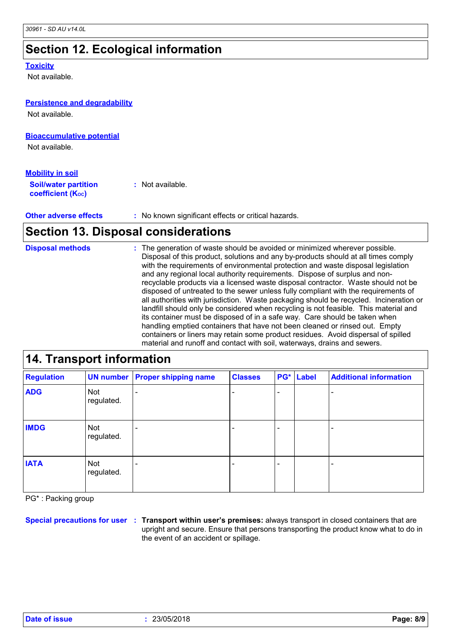### **Section 12. Ecological information**

#### **Toxicity**

Not available.

#### **Persistence and degradability**

Not available.

#### **Bioaccumulative potential**

Not available.

| <u>Mobility in soil</u>                                 |                  |
|---------------------------------------------------------|------------------|
| <b>Soil/water partition</b><br><b>coefficient (Koc)</b> | : Not available. |

**Other adverse effects :** No known significant effects or critical hazards.

### **Section 13. Disposal considerations**

The generation of waste should be avoided or minimized wherever possible. Disposal of this product, solutions and any by-products should at all times comply with the requirements of environmental protection and waste disposal legislation and any regional local authority requirements. Dispose of surplus and nonrecyclable products via a licensed waste disposal contractor. Waste should not be disposed of untreated to the sewer unless fully compliant with the requirements of all authorities with jurisdiction. Waste packaging should be recycled. Incineration or landfill should only be considered when recycling is not feasible. This material and its container must be disposed of in a safe way. Care should be taken when handling emptied containers that have not been cleaned or rinsed out. Empty containers or liners may retain some product residues. Avoid dispersal of spilled material and runoff and contact with soil, waterways, drains and sewers. **Disposal methods :** recyclable products via a<br>disposed of untreated to<br>all authorities with jurisdic<br>landfill should only be contained in the disposition<br>transport information<br>disponsition<br>disponsition and containers or liners may in<br>material

#### **Regulation UN number Proper shipping name Classes PG\* ADG** Not - - regulated. **IATA** Not - - regulated. **IMDG** Not  $\vert$  -  $\vert$  -  $\vert$  -  $\vert$  -  $\vert$  -  $\vert$ regulated. **Label Additional information** - - -

PG\* : Packing group

**Special precautions for user Transport within user's premises:** always transport in closed containers that are **:** upright and secure. Ensure that persons transporting the product know what to do in the event of an accident or spillage.